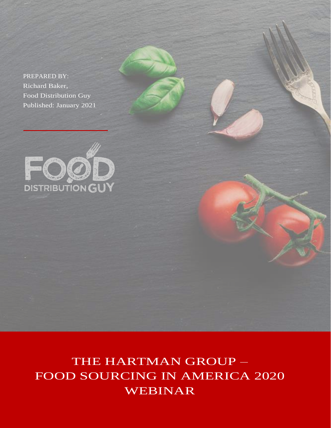PREPARED BY: Richard Baker, Food Distribution Guy Published: January 2021



THE HARTMAN GROUP – FOOD SOURCING IN AMERICA 2020 WEBINAR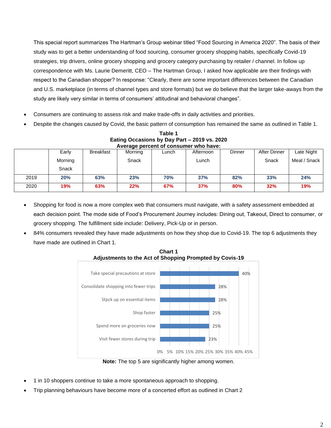This special report summarizes The Hartman's Group webinar titled "Food Sourcing in America 2020". The basis of their study was to get a better understanding of food sourcing, consumer grocery shopping habits, specifically Covid-19 strategies, trip drivers, online grocery shopping and grocery category purchasing by retailer / channel. In follow up correspondence with Ms. Laurie Demeritt, CEO – The Hartman Group, I asked how applicable are their findings with respect to the Canadian shopper? In response: "Clearly, there are some important differences between the Canadian and U.S. marketplace (in terms of channel types and store formats) but we do believe that the larger take-aways from the study are likely very similar in terms of consumers' attitudinal and behavioral changes".

- Consumers are continuing to assess risk and make trade-offs in daily activities and priorities.
- Despite the changes caused by Covid, the basic pattern of consumption has remained the same as outlined in Table 1.

| Average percent of consumer who have: |                  |           |         |            |           |        |              |              |
|---------------------------------------|------------------|-----------|---------|------------|-----------|--------|--------------|--------------|
|                                       | Early            | Breakfast | Morning | Lunch      | Afternoon | Dinner | After Dinner | Late Night   |
|                                       | Morning<br>Snack |           | Snack   |            | Lunch     |        | Snack        | Meal / Snack |
| 2019                                  | 20%              | 63%       | 23%     | <b>70%</b> | 37%       | 82%    | 33%          | 24%          |
| 2020                                  | 19%              | 63%       | 22%     | 67%        | 37%       | 80%    | 32%          | 19%          |

**Table 1 Eating Occasions by Day Part – 2019 vs. 2020**

- Shopping for food is now a more complex web that consumers must navigate, with a safety assessment embedded at each decision point. The mode side of Food's Procurement Journey includes: Dining out, Takeout, Direct to consumer, or grocery shopping. The fulfillment side include: Delivery, Pick-Up or in person.
- 84% consumers revealed they have made adjustments on how they shop due to Covid-19. The top 6 adjustments they have made are outlined in Chart 1.



**Chart 1 Adjustments to the Act of Shopping Prompted by Covis-19**

**Note:** The top 5 are significantly higher among women.

- 1 in 10 shoppers continue to take a more spontaneous approach to shopping.
- Trip planning behaviours have become more of a concerted effort as outlined in Chart 2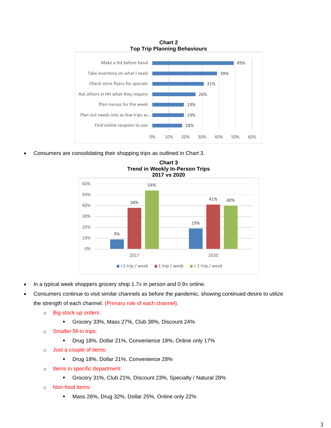

• Consumers are consolidating their shopping trips as outlined in Chart 3.



**Chart 3 Trend in Weekly In-Person Trips**

- In a typical week shoppers grocery shop 1.7X in person and 0.9X online.
- Consumers continue to visit similar channels as before the pandemic, showing continued desire to utilize the strength of each channel. (Primary role of each channel).
	- o Big stock up orders:
		- Grocery 33%, Mass 27%, Club 38%, Discount 24%
	- o Smaller fill-in trips:
		- Drug 18%, Dollar 21%, Convenience 18%, Online only 17%
	- o Just a couple of items:
		- Drug 18%, Dollar 21%, Convenience 28%
	- o Items in specific department:
		- Grocery 31%, Club 21%, Discount 23%, Specialty / Natural 28%
	- o Non-food items:
		- Mass 26%, Drug 32%, Dollar 25%, Online only 22%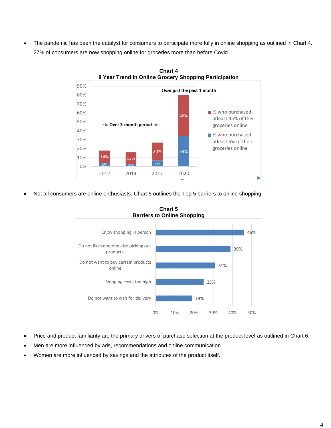• The pandemic has been the catalyst for consumers to participate more fully in online shopping as outlined in Chart 4. 27% of consumers are now shopping online for groceries more than before Covid.



**Chart 4**

• Not all consumers are online enthusiasts. Chart 5 outlines the Top 5 barriers to online shopping.



**Chart 5 Barriers to Online Shopping**

- Price and product familiarity are the primary drivers of purchase selection at the product level as outlined in Chart 6.
- Men are more influenced by ads, recommendations and online communication.
- Women are more influenced by savings and the attributes of the product itself.